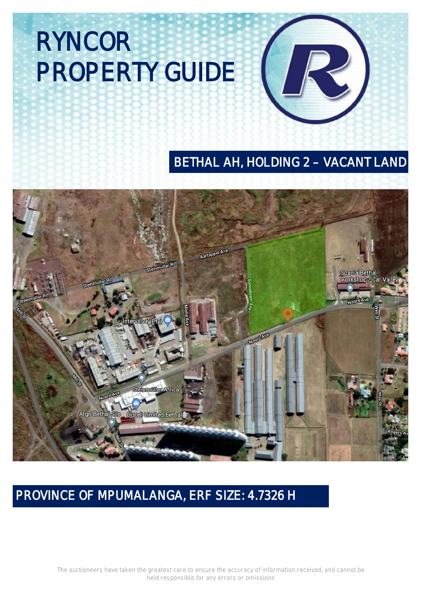### **BETHAL AH, HOLDING 2 - VACANT LAND**



### **PROVINCE OF MPUMALANGA, ERF SIZE: 4.7326 H**

The auctioneers have taken the greatest care to ensure the accuracy of information received, and cannot be held responsible for any errors or omissions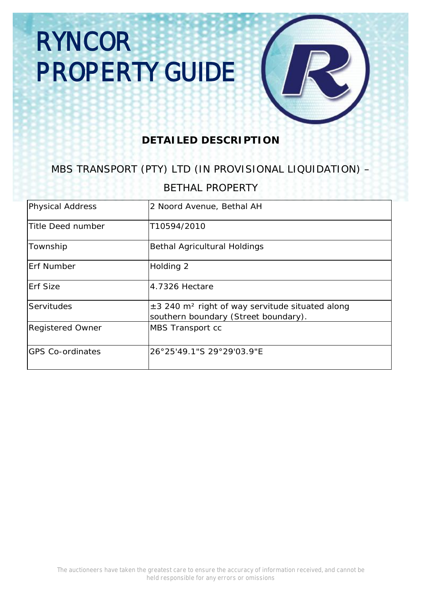#### **DETAILED DESCRIPTION**

### MBS TRANSPORT (PTY) LTD (IN PROVISIONAL LIQUIDATION) –

#### BETHAL PROPERTY

| <b>Physical Address</b> | 2 Noord Avenue, Bethal AH                                                                           |
|-------------------------|-----------------------------------------------------------------------------------------------------|
| Title Deed number       | T10594/2010                                                                                         |
| <b>Township</b>         | <b>Bethal Agricultural Holdings</b>                                                                 |
| <b>Erf Number</b>       | <b>Holding 2</b>                                                                                    |
| <b>Erf Size</b>         | 4.7326 Hectare                                                                                      |
| <b>Servitudes</b>       | ±3 240 m <sup>2</sup> right of way servitude situated along<br>southern boundary (Street boundary). |
| <b>Registered Owner</b> | <b>MBS Transport cc</b>                                                                             |
| <b>GPS Co-ordinates</b> | 26°25'49.1"S 29°29'03.9"E                                                                           |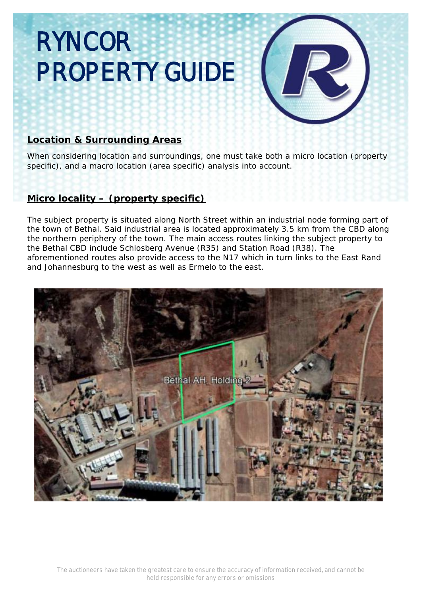#### **Location & Surrounding Areas**

When considering location and surroundings, one must take both a micro location (property specific), and a macro location (area specific) analysis into account.

#### **Micro locality – (property specific)**

The subject property is situated along North Street within an industrial node forming part of the town of Bethal. Said industrial area is located approximately 3.5 km from the CBD along the northern periphery of the town. The main access routes linking the subject property to the Bethal CBD include Schlosberg Avenue (R35) and Station Road (R38). The aforementioned routes also provide access to the N17 which in turn links to the East Rand and Johannesburg to the west as well as Ermelo to the east.

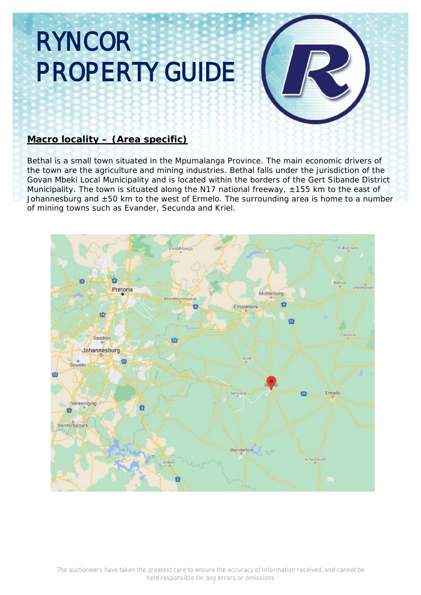#### **Macro locality – (Area specific)**

Bethal is a small town situated in the Mpumalanga Province. The main economic drivers of the town are the agriculture and mining industries. Bethal falls under the jurisdiction of the Govan Mbeki Local Municipality and is located within the borders of the Gert Sibande District Municipality. The town is situated along the N17 national freeway, ±155 km to the east of Johannesburg and ±50 km to the west of Ermelo. The surrounding area is home to a number of mining towns such as Evander, Secunda and Kriel.